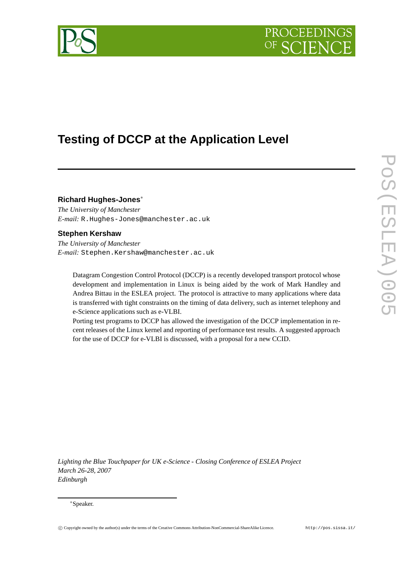



# **Testing of DCCP at the Application Level**

# **Richard Hughes-Jones**<sup>∗</sup>

*The University of Manchester E-mail:* R.Hughes-Jones@manchester.ac.uk

# **Stephen Kershaw**

*The University of Manchester E-mail:* Stephen.Kershaw@manchester.ac.uk

Datagram Congestion Control Protocol (DCCP) is a recently developed transport protocol whose development and implementation in Linux is being aided by the work of Mark Handley and Andrea Bittau in the ESLEA project. The protocol is attractive to many applications where data is transferred with tight constraints on the timing of data delivery, such as internet telephony and e-Science applications such as e-VLBI.

Porting test programs to DCCP has allowed the investigation of the DCCP implementation in recent releases of the Linux kernel and reporting of performance test results. A suggested approach for the use of DCCP for e-VLBI is discussed, with a proposal for a new CCID.

*Lighting the Blue Touchpaper for UK e-Science - Closing Conference of ESLEA Project March 26-28, 2007 Edinburgh*

#### <sup>∗</sup>Speaker.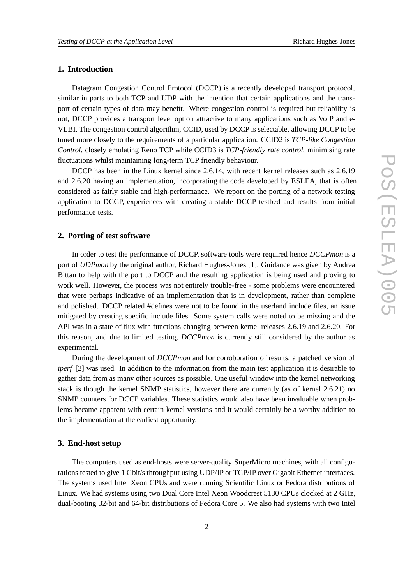# **1. Introduction**

Datagram Congestion Control Protocol (DCCP) is a recently developed transport protocol, similar in parts to both TCP and UDP with the intention that certain applications and the transport of certain types of data may benefit. Where congestion control is required but reliability is not, DCCP provides a transport level option attractive to many applications such as VoIP and e-VLBI. The congestion control algorithm, CCID, used by DCCP is selectable, allowing DCCP to be tuned more closely to the requirements of a particular application. CCID2 is *TCP-like Congestion Control*, closely emulating Reno TCP while CCID3 is *TCP-friendly rate control*, minimising rate fluctuations whilst maintaining long-term TCP friendly behaviour.

DCCP has been in the Linux kernel since 2.6.14, with recent kernel releases such as 2.6.19 and 2.6.20 having an implementation, incorporating the code developed by ESLEA, that is often considered as fairly stable and high-performance. We report on the porting of a network testing application to DCCP, experiences with creating a stable DCCP testbed and results from initial performance tests.

#### **2. Porting of test software**

In order to test the performance of DCCP, software tools were required hence *DCCPmon* is a port of *UDPmon* by the original author, Richard Hughes-Jones [1]. Guidance was given by Andrea Bittau to help with the port to DCCP and the resulting application is being used and proving to work well. However, the process was not entirely trouble-free - some problems were encountered that were perhaps indicative of an implementation that is in development, rather than complete and polished. DCCP related #defines were not to be found in the userland include files, an issue mitigated by creating specific include files. Some system calls were noted to be missing and the API was in a state of flux with functions changing between kernel releases 2.6.19 and 2.6.20. For this reason, and due to limited testing, *DCCPmon* is currently still considered by the author as experimental.

During the development of *DCCPmon* and for corroboration of results, a patched version of *iperf* [2] was used. In addition to the information from the main test application it is desirable to gather data from as many other sources as possible. One useful window into the kernel networking stack is though the kernel SNMP statistics, however there are currently (as of kernel 2.6.21) no SNMP counters for DCCP variables. These statistics would also have been invaluable when problems became apparent with certain kernel versions and it would certainly be a worthy addition to the implementation at the earliest opportunity.

#### **3. End-host setup**

The computers used as end-hosts were server-quality SuperMicro machines, with all configurations tested to give 1 Gbit/s throughput using UDP/IP or TCP/IP over Gigabit Ethernet interfaces. The systems used Intel Xeon CPUs and were running Scientific Linux or Fedora distributions of Linux. We had systems using two Dual Core Intel Xeon Woodcrest 5130 CPUs clocked at 2 GHz, dual-booting 32-bit and 64-bit distributions of Fedora Core 5. We also had systems with two Intel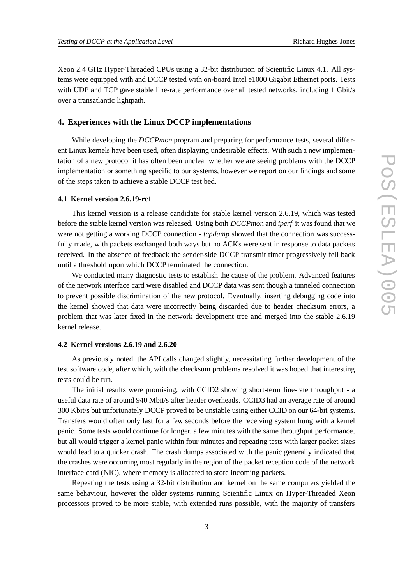Xeon 2.4 GHz Hyper-Threaded CPUs using a 32-bit distribution of Scientific Linux 4.1. All systems were equipped with and DCCP tested with on-board Intel e1000 Gigabit Ethernet ports. Tests with UDP and TCP gave stable line-rate performance over all tested networks, including 1 Gbit/s over a transatlantic lightpath.

## **4. Experiences with the Linux DCCP implementations**

While developing the *DCCPmon* program and preparing for performance tests, several different Linux kernels have been used, often displaying undesirable effects. With such a new implementation of a new protocol it has often been unclear whether we are seeing problems with the DCCP implementation or something specific to our systems, however we report on our findings and some of the steps taken to achieve a stable DCCP test bed.

#### **4.1 Kernel version 2.6.19-rc1**

This kernel version is a release candidate for stable kernel version 2.6.19, which was tested before the stable kernel version was released. Using both *DCCPmon* and *iperf* it was found that we were not getting a working DCCP connection - *tcpdump* showed that the connection was successfully made, with packets exchanged both ways but no ACKs were sent in response to data packets received. In the absence of feedback the sender-side DCCP transmit timer progressively fell back until a threshold upon which DCCP terminated the connection.

We conducted many diagnostic tests to establish the cause of the problem. Advanced features of the network interface card were disabled and DCCP data was sent though a tunneled connection to prevent possible discrimination of the new protocol. Eventually, inserting debugging code into the kernel showed that data were incorrectly being discarded due to header checksum errors, a problem that was later fixed in the network development tree and merged into the stable 2.6.19 kernel release.

## **4.2 Kernel versions 2.6.19 and 2.6.20**

As previously noted, the API calls changed slightly, necessitating further development of the test software code, after which, with the checksum problems resolved it was hoped that interesting tests could be run.

The initial results were promising, with CCID2 showing short-term line-rate throughput - a useful data rate of around 940 Mbit/s after header overheads. CCID3 had an average rate of around 300 Kbit/s but unfortunately DCCP proved to be unstable using either CCID on our 64-bit systems. Transfers would often only last for a few seconds before the receiving system hung with a kernel panic. Some tests would continue for longer, a few minutes with the same throughput performance, but all would trigger a kernel panic within four minutes and repeating tests with larger packet sizes would lead to a quicker crash. The crash dumps associated with the panic generally indicated that the crashes were occurring most regularly in the region of the packet reception code of the network interface card (NIC), where memory is allocated to store incoming packets.

Repeating the tests using a 32-bit distribution and kernel on the same computers yielded the same behaviour, however the older systems running Scientific Linux on Hyper-Threaded Xeon processors proved to be more stable, with extended runs possible, with the majority of transfers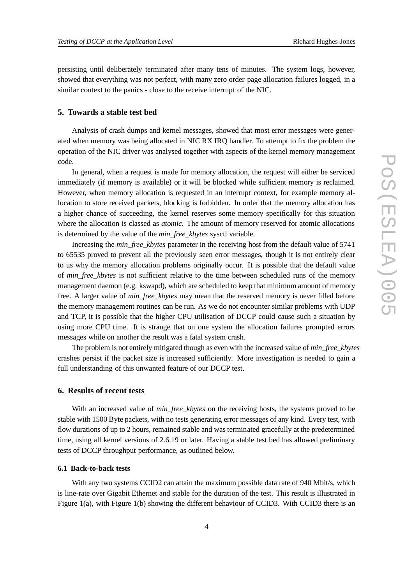persisting until deliberately terminated after many tens of minutes. The system logs, however, showed that everything was not perfect, with many zero order page allocation failures logged, in a similar context to the panics - close to the receive interrupt of the NIC.

## **5. Towards a stable test bed**

Analysis of crash dumps and kernel messages, showed that most error messages were generated when memory was being allocated in NIC RX IRQ handler. To attempt to fix the problem the operation of the NIC driver was analysed together with aspects of the kernel memory management code.

In general, when a request is made for memory allocation, the request will either be serviced immediately (if memory is available) or it will be blocked while sufficient memory is reclaimed. However, when memory allocation is requested in an interrupt context, for example memory allocation to store received packets, blocking is forbidden. In order that the memory allocation has a higher chance of succeeding, the kernel reserves some memory specifically for this situation where the allocation is classed as *atomic*. The amount of memory reserved for atomic allocations is determined by the value of the *min\_free\_kbytes* sysctl variable.

Increasing the *min\_free\_kbytes* parameter in the receiving host from the default value of 5741 to 65535 proved to prevent all the previously seen error messages, though it is not entirely clear to us why the memory allocation problems originally occur. It is possible that the default value of *min\_free\_kbytes* is not sufficient relative to the time between scheduled runs of the memory management daemon (e.g. kswapd), which are scheduled to keep that minimum amount of memory free. A larger value of *min\_free\_kbytes* may mean that the reserved memory is never filled before the memory management routines can be run. As we do not encounter similar problems with UDP and TCP, it is possible that the higher CPU utilisation of DCCP could cause such a situation by using more CPU time. It is strange that on one system the allocation failures prompted errors messages while on another the result was a fatal system crash.

The problem is not entirely mitigated though as even with the increased value of *min\_free\_kbytes* crashes persist if the packet size is increased sufficiently. More investigation is needed to gain a full understanding of this unwanted feature of our DCCP test.

## **6. Results of recent tests**

With an increased value of *min free kbytes* on the receiving hosts, the systems proved to be stable with 1500 Byte packets, with no tests generating error messages of any kind. Every test, with flow durations of up to 2 hours, remained stable and was terminated gracefully at the predetermined time, using all kernel versions of 2.6.19 or later. Having a stable test bed has allowed preliminary tests of DCCP throughput performance, as outlined below.

#### **6.1 Back-to-back tests**

With any two systems CCID2 can attain the maximum possible data rate of 940 Mbit/s, which is line-rate over Gigabit Ethernet and stable for the duration of the test. This result is illustrated in Figure 1(a), with Figure 1(b) showing the different behaviour of CCID3. With CCID3 there is an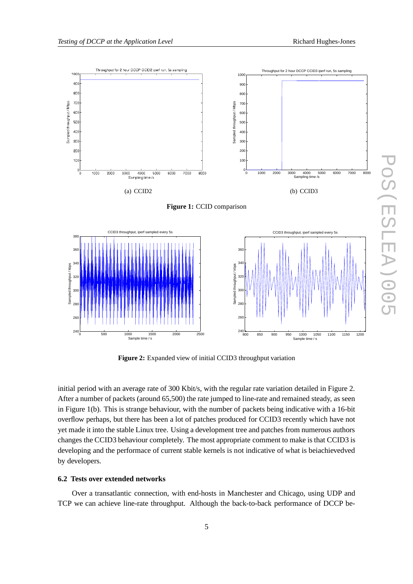

**Figure 1:** CCID comparison



**Figure 2:** Expanded view of initial CCID3 throughput variation

initial period with an average rate of 300 Kbit/s, with the regular rate variation detailed in Figure 2. After a number of packets (around 65,500) the rate jumped to line-rate and remained steady, as seen in Figure 1(b). This is strange behaviour, with the number of packets being indicative with a 16-bit overflow perhaps, but there has been a lot of patches produced for CCID3 recently which have not yet made it into the stable Linux tree. Using a development tree and patches from numerous authors changes the CCID3 behaviour completely. The most appropriate comment to make is that CCID3 is developing and the performace of current stable kernels is not indicative of what is beiachievedved by developers.

#### **6.2 Tests over extended networks**

Over a transatlantic connection, with end-hosts in Manchester and Chicago, using UDP and TCP we can achieve line-rate throughput. Although the back-to-back performance of DCCP be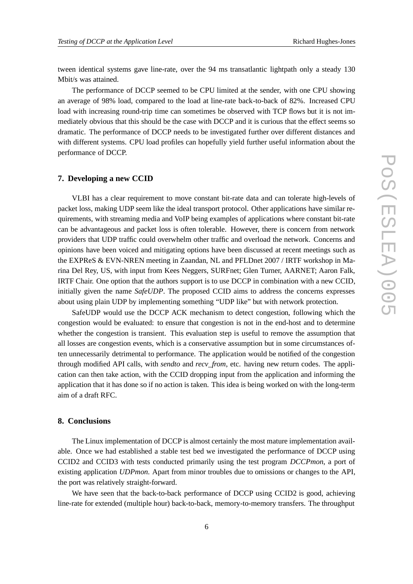tween identical systems gave line-rate, over the 94 ms transatlantic lightpath only a steady 130 Mbit/s was attained.

The performance of DCCP seemed to be CPU limited at the sender, with one CPU showing an average of 98% load, compared to the load at line-rate back-to-back of 82%. Increased CPU load with increasing round-trip time can sometimes be observed with TCP flows but it is not immediately obvious that this should be the case with DCCP and it is curious that the effect seems so dramatic. The performance of DCCP needs to be investigated further over different distances and with different systems. CPU load profiles can hopefully yield further useful information about the performance of DCCP.

## **7. Developing a new CCID**

VLBI has a clear requirement to move constant bit-rate data and can tolerate high-levels of packet loss, making UDP seem like the ideal transport protocol. Other applications have similar requirements, with streaming media and VoIP being examples of applications where constant bit-rate can be advantageous and packet loss is often tolerable. However, there is concern from network providers that UDP traffic could overwhelm other traffic and overload the network. Concerns and opinions have been voiced and mitigating options have been discussed at recent meetings such as the EXPReS & EVN-NREN meeting in Zaandan, NL and PFLDnet 2007 / IRTF workshop in Marina Del Rey, US, with input from Kees Neggers, SURFnet; Glen Turner, AARNET; Aaron Falk, IRTF Chair. One option that the authors support is to use DCCP in combination with a new CCID, initially given the name *SafeUDP*. The proposed CCID aims to address the concerns expresses about using plain UDP by implementing something "UDP like" but with network protection.

SafeUDP would use the DCCP ACK mechanism to detect congestion, following which the congestion would be evaluated: to ensure that congestion is not in the end-host and to determine whether the congestion is transient. This evaluation step is useful to remove the assumption that all losses are congestion events, which is a conservative assumption but in some circumstances often unnecessarily detrimental to performance. The application would be notified of the congestion through modified API calls, with *sendto* and *recv\_from*, etc. having new return codes. The application can then take action, with the CCID dropping input from the application and informing the application that it has done so if no action is taken. This idea is being worked on with the long-term aim of a draft RFC.

# **8. Conclusions**

The Linux implementation of DCCP is almost certainly the most mature implementation available. Once we had established a stable test bed we investigated the performance of DCCP using CCID2 and CCID3 with tests conducted primarily using the test program *DCCPmon*, a port of existing application *UDPmon*. Apart from minor troubles due to omissions or changes to the API, the port was relatively straight-forward.

We have seen that the back-to-back performance of DCCP using CCID2 is good, achieving line-rate for extended (multiple hour) back-to-back, memory-to-memory transfers. The throughput